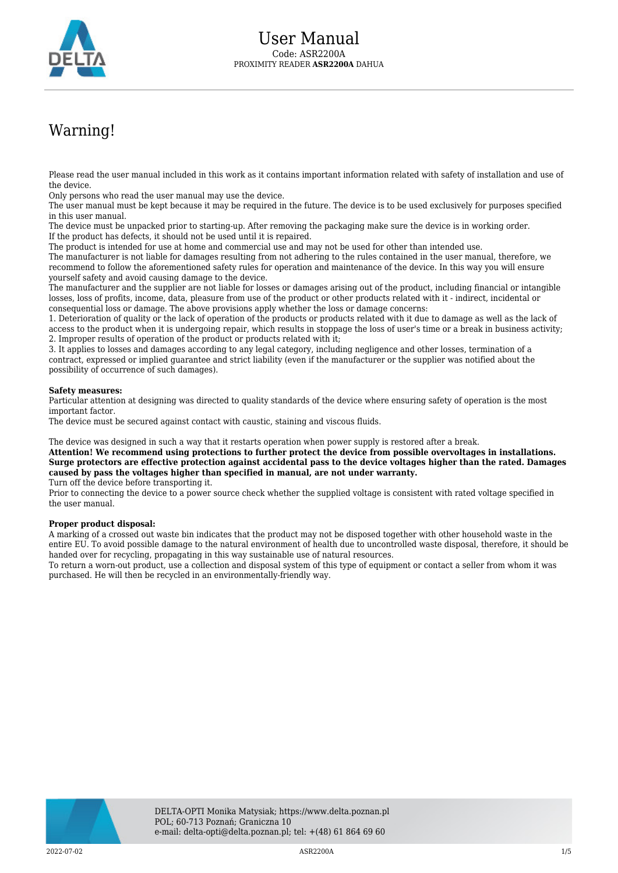

## Warning!

Please read the user manual included in this work as it contains important information related with safety of installation and use of the device.

Only persons who read the user manual may use the device.

The user manual must be kept because it may be required in the future. The device is to be used exclusively for purposes specified in this user manual.

The device must be unpacked prior to starting-up. After removing the packaging make sure the device is in working order. If the product has defects, it should not be used until it is repaired.

The product is intended for use at home and commercial use and may not be used for other than intended use.

The manufacturer is not liable for damages resulting from not adhering to the rules contained in the user manual, therefore, we recommend to follow the aforementioned safety rules for operation and maintenance of the device. In this way you will ensure yourself safety and avoid causing damage to the device.

The manufacturer and the supplier are not liable for losses or damages arising out of the product, including financial or intangible losses, loss of profits, income, data, pleasure from use of the product or other products related with it - indirect, incidental or consequential loss or damage. The above provisions apply whether the loss or damage concerns:

1. Deterioration of quality or the lack of operation of the products or products related with it due to damage as well as the lack of access to the product when it is undergoing repair, which results in stoppage the loss of user's time or a break in business activity; 2. Improper results of operation of the product or products related with it;

3. It applies to losses and damages according to any legal category, including negligence and other losses, termination of a contract, expressed or implied guarantee and strict liability (even if the manufacturer or the supplier was notified about the possibility of occurrence of such damages).

## **Safety measures:**

Particular attention at designing was directed to quality standards of the device where ensuring safety of operation is the most important factor.

The device must be secured against contact with caustic, staining and viscous fluids.

The device was designed in such a way that it restarts operation when power supply is restored after a break.

**Attention! We recommend using protections to further protect the device from possible overvoltages in installations. Surge protectors are effective protection against accidental pass to the device voltages higher than the rated. Damages caused by pass the voltages higher than specified in manual, are not under warranty.**

Turn off the device before transporting it.

Prior to connecting the device to a power source check whether the supplied voltage is consistent with rated voltage specified in the user manual.

## **Proper product disposal:**

A marking of a crossed out waste bin indicates that the product may not be disposed together with other household waste in the entire EU. To avoid possible damage to the natural environment of health due to uncontrolled waste disposal, therefore, it should be handed over for recycling, propagating in this way sustainable use of natural resources.

To return a worn-out product, use a collection and disposal system of this type of equipment or contact a seller from whom it was purchased. He will then be recycled in an environmentally-friendly way.

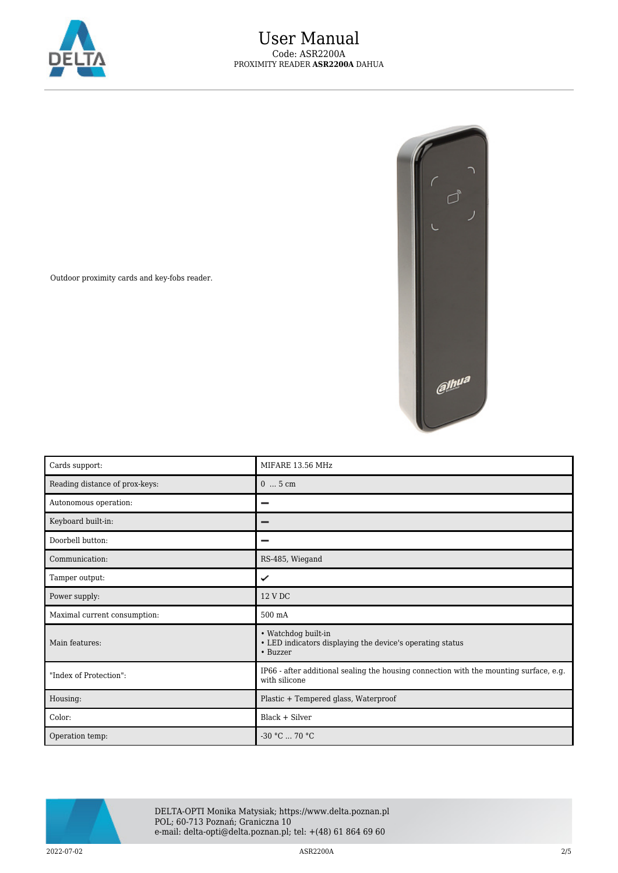

Outdoor proximity cards and key-fobs reader.



| Cards support:                 | MIFARE 13.56 MHz                                                                                        |
|--------------------------------|---------------------------------------------------------------------------------------------------------|
| Reading distance of prox-keys: | $05$ cm                                                                                                 |
| Autonomous operation:          |                                                                                                         |
| Keyboard built-in:             |                                                                                                         |
| Doorbell button:               |                                                                                                         |
| Communication:                 | RS-485, Wiegand                                                                                         |
| Tamper output:                 | ✓                                                                                                       |
| Power supply:                  | 12 V DC                                                                                                 |
| Maximal current consumption:   | 500 mA                                                                                                  |
| Main features:                 | • Watchdog built-in<br>• LED indicators displaying the device's operating status<br>• Buzzer            |
| "Index of Protection":         | IP66 - after additional sealing the housing connection with the mounting surface, e.g.<br>with silicone |
| Housing:                       | Plastic + Tempered glass, Waterproof                                                                    |
| Color:                         | Black + Silver                                                                                          |
| Operation temp:                | $-30 °C$ 70 °C                                                                                          |



DELTA-OPTI Monika Matysiak; https://www.delta.poznan.pl POL; 60-713 Poznań; Graniczna 10 e-mail: delta-opti@delta.poznan.pl; tel: +(48) 61 864 69 60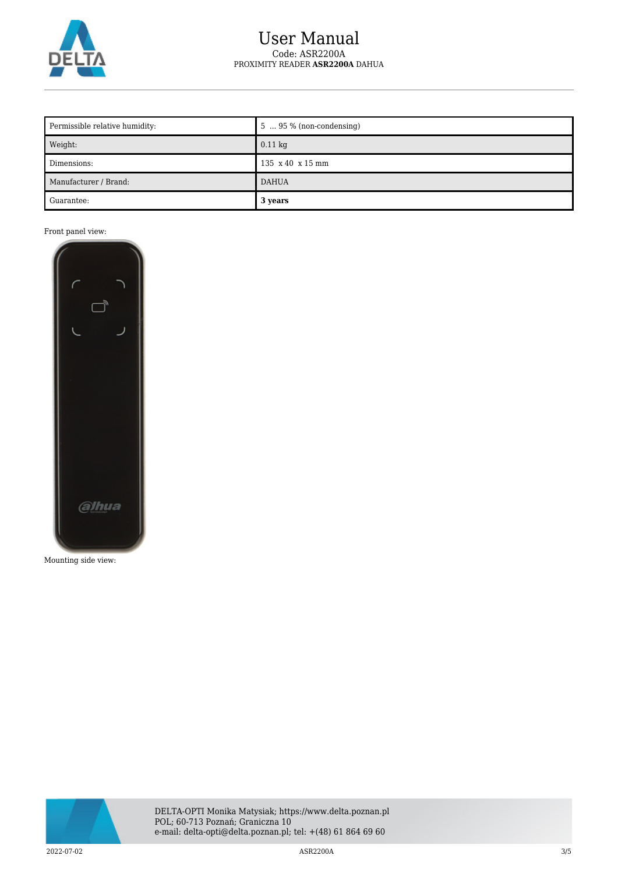

## User Manual Code: ASR2200A PROXIMITY READER **ASR2200A** DAHUA

| Permissible relative humidity: | $5 \dots 95 \%$ (non-condensing) |
|--------------------------------|----------------------------------|
| Weight:                        | $0.11 \text{ kg}$                |
| Dimensions:                    | 135 x 40 x 15 mm                 |
| Manufacturer / Brand:          | <b>DAHUA</b>                     |
| Guarantee:                     | 3 years                          |

Front panel view:



Mounting side view:

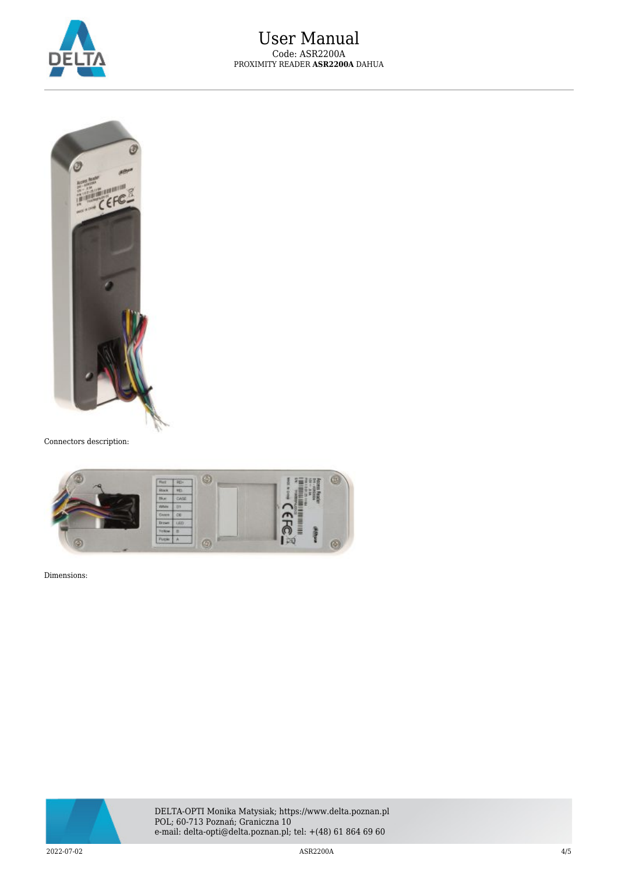



Connectors description:



Dimensions: